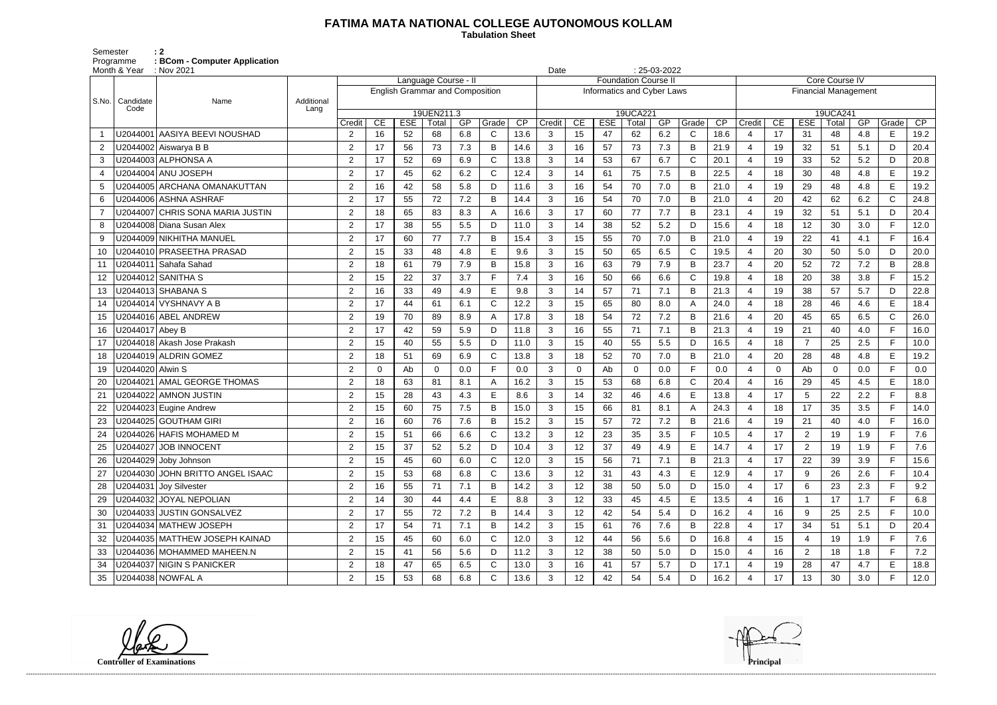## **FATIMA MATA NATIONAL COLLEGE AUTONOMOUS KOLLAM**

 **Tabulation Sheet** 

Semester : 2 Programme **: BCom - Computer Application**

| Month & Year   |           | : Nov 2021                       |            |                |          |                                        |       |     |              |      | Date           |          |                            |                            | $: 25-03-2022$ |              |                |                             |    |                |       |     |              |      |
|----------------|-----------|----------------------------------|------------|----------------|----------|----------------------------------------|-------|-----|--------------|------|----------------|----------|----------------------------|----------------------------|----------------|--------------|----------------|-----------------------------|----|----------------|-------|-----|--------------|------|
|                |           |                                  |            |                |          | Language Course - Il                   |       |     |              |      |                |          | <b>Foundation Course I</b> |                            |                |              | Core Course IV |                             |    |                |       |     |              |      |
| S.No.          | Candidate | Name                             | Additional |                |          | <b>English Grammar and Composition</b> |       |     |              |      |                |          |                            | Informatics and Cyber Laws |                |              |                | <b>Financial Management</b> |    |                |       |     |              |      |
|                | Code      |                                  | Lang       | 19UEN211.3     |          |                                        |       |     |              |      |                | 19UCA221 |                            |                            |                | 19UCA241     |                |                             |    |                |       |     |              |      |
|                |           |                                  |            | Credit         | CE       | <b>ESE</b>                             | Total | GP  | Grade        | CP   | Credit         | CE       | <b>ESE</b>                 | Total                      | GP             | Grade        | CP             | Credit                      | CE | <b>ESE</b>     | Total | GP  | Grade        | CP   |
|                |           | U2044001 AASIYA BEEVI NOUSHAD    |            | $\overline{2}$ | 16       | 52                                     | 68    | 6.8 | C            | 13.6 | 3              | 15       | 47                         | 62                         | 6.2            | C            | 18.6           | -4                          | 17 | 31             | 48    | 4.8 | E            | 19.2 |
| $\overline{2}$ |           | U2044002 Aiswarya B B            |            | $\overline{2}$ | 17       | 56                                     | 73    | 7.3 | B            | 14.6 | 3              | 16       | 57                         | 73                         | 7.3            | B            | 21.9           | $\overline{4}$              | 19 | 32             | 51    | 5.1 | D            | 20.4 |
| 3              |           | U2044003 ALPHONSA A              |            | $\overline{2}$ | 17       | 52                                     | 69    | 6.9 | C            | 13.8 | 3              | 14       | 53                         | 67                         | 6.7            | $\mathsf{C}$ | 20.1           | 4                           | 19 | 33             | 52    | 5.2 | D            | 20.8 |
| 4              |           | U2044004 ANU JOSEPH              |            | $\overline{2}$ | 17       | 45                                     | 62    | 6.2 | C            | 12.4 | 3              | 14       | 61                         | 75                         | 7.5            | B            | 22.5           | $\overline{4}$              | 18 | 30             | 48    | 4.8 | E            | 19.2 |
| 5              |           | U2044005 ARCHANA OMANAKUTTAN     |            | $\overline{2}$ | 16       | 42                                     | 58    | 5.8 | D            | 11.6 | 3              | 16       | 54                         | 70                         | 7.0            | $\mathsf B$  | 21.0           | $\overline{4}$              | 19 | 29             | 48    | 4.8 | E            | 19.2 |
| 6              |           | U2044006 ASHNA ASHRAF            |            | $\overline{2}$ | 17       | 55                                     | 72    | 7.2 | B            | 14.4 | 3              | 16       | 54                         | 70                         | 7.0            | B            | 21.0           | $\overline{4}$              | 20 | 42             | 62    | 6.2 | $\mathsf{C}$ | 24.8 |
|                |           | U2044007 CHRIS SONA MARIA JUSTIN |            | $\overline{2}$ | 18       | 65                                     | 83    | 8.3 |              | 16.6 | 3              | 17       | 60                         | 77                         | 7.7            | B            | 23.1           | $\overline{4}$              | 19 | 32             | 51    | 5.1 | D            | 20.4 |
| 8              |           | U2044008 Diana Susan Alex        |            | $\overline{2}$ | 17       | 38                                     | 55    | 5.5 | D            | 11.0 | 3              | 14       | 38                         | 52                         | 5.2            | D            | 15.6           | $\overline{4}$              | 18 | 12             | 30    | 3.0 | F.           | 12.0 |
| 9              |           | U2044009 NIKHITHA MANUEL         |            | $\overline{2}$ | 17       | 60                                     | 77    | 7.7 | B            | 15.4 | 3              | 15       | 55                         | 70                         | 7.0            | B            | 21.0           | $\overline{4}$              | 19 | 22             | 41    | 4.1 | F            | 16.4 |
| 10             |           | U2044010 PRASEETHA PRASAD        |            | 2              | 15       | 33                                     | 48    | 4.8 | E            | 9.6  | 3              | 15       | 50                         | 65                         | 6.5            | $\mathsf{C}$ | 19.5           | 4                           | 20 | 30             | 50    | 5.0 | D            | 20.0 |
| 11             |           | U2044011  Sahafa Sahad           |            | $\overline{2}$ | 18       | 61                                     | 79    | 7.9 | B            | 15.8 | 3              | 16       | 63                         | 79                         | 7.9            | B            | 23.7           | $\overline{4}$              | 20 | 52             | 72    | 7.2 | B            | 28.8 |
| 12             |           | U2044012 SANITHA S               |            | $\overline{2}$ | 15       | 22                                     | 37    | 3.7 | Е            | 7.4  | 3              | 16       | 50                         | 66                         | 6.6            | $\mathsf{C}$ | 19.8           | $\overline{4}$              | 18 | 20             | 38    | 3.8 | F.           | 15.2 |
| 13             |           | U2044013 SHABANA S               |            | $\overline{2}$ | 16       | 33                                     | 49    | 4.9 | E            | 9.8  | 3              | 14       | 57                         | 71                         | 7.1            | B            | 21.3           | $\overline{4}$              | 19 | 38             | 57    | 5.7 | D            | 22.8 |
| 14             |           | U2044014│VYSHNAVY A B            |            | $\overline{2}$ | 17       | 44                                     | 61    | 6.1 | C            | 12.2 | 3              | 15       | 65                         | 80                         | 8.0            | A            | 24.0           | $\overline{4}$              | 18 | 28             | 46    | 4.6 | E            | 18.4 |
| 15             |           | U2044016 ABEL ANDREW             |            | 2              | 19       | 70                                     | 89    | 8.9 |              | 17.8 | 3              | 18       | 54                         | 72                         | 7.2            | B            | 21.6           | $\overline{4}$              | 20 | 45             | 65    | 6.5 | $\mathsf{C}$ | 26.0 |
| 16             |           | U2044017 Abey B                  |            | $\overline{2}$ | 17       | 42                                     | 59    | 5.9 | D            | 11.8 | 3              | 16       | 55                         | 71                         | 7.1            | B            | 21.3           | $\overline{4}$              | 19 | 21             | 40    | 4.0 | E            | 16.0 |
| 17             |           | U2044018 Akash Jose Prakash      |            | $\overline{2}$ | 15       | 40                                     | 55    | 5.5 | D            | 11.0 | 3              | 15       | 40                         | 55                         | 5.5            | D            | 16.5           | $\overline{4}$              | 18 | $\overline{7}$ | 25    | 2.5 | E            | 10.0 |
| 18             |           | U2044019 ALDRIN GOMEZ            |            | $\overline{2}$ | 18       | 51                                     | 69    | 6.9 | C            | 13.8 | 3              | 18       | 52                         | 70                         | 7.0            | B            | 21.0           | $\overline{4}$              | 20 | 28             | 48    | 4.8 | E            | 19.2 |
| 19             |           | U2044020 Alwin S                 |            | $\overline{2}$ | $\Omega$ | Ab                                     | 0     | 0.0 | E            | 0.0  | 3              | 0        | Ab                         | $\mathbf 0$                | 0.0            | $\mathsf{F}$ | 0.0            | 4                           | 0  | Ab             | 0     | 0.0 | Е            | 0.0  |
| 20             |           | U2044021 AMAL GEORGE THOMAS      |            | 2              | 18       | 63                                     | 81    | 8.1 | A            | 16.2 | 3              | 15       | 53                         | 68                         | 6.8            | $\mathsf{C}$ | 20.4           | 4                           | 16 | 29             | 45    | 4.5 | E            | 18.0 |
| 21             |           | U2044022 AMNON JUSTIN            |            | $\overline{2}$ | 15       | 28                                     | 43    | 4.3 | E            | 8.6  | 3              | 14       | 32                         | 46                         | 4.6            | E            | 13.8           | $\overline{4}$              | 17 | 5              | 22    | 2.2 | Е            | 8.8  |
| 22             |           | U2044023 Eugine Andrew           |            | $\overline{2}$ | 15       | 60                                     | 75    | 7.5 | B            | 15.0 | 3              | 15       | 66                         | 81                         | 8.1            | A            | 24.3           | $\overline{4}$              | 18 | 17             | 35    | 3.5 | F.           | 14.0 |
| 23             |           | U2044025 GOUTHAM GIRI            |            | $\overline{2}$ | 16       | 60                                     | 76    | 7.6 | В            | 15.2 | 3              | 15       | 57                         | 72                         | 7.2            | B            | 21.6           | $\overline{4}$              | 19 | 21             | 40    | 4.0 | F.           | 16.0 |
| 24             |           | U2044026 HAFIS MOHAMED M         |            | 2              | 15       | 51                                     | 66    | 6.6 | C            | 13.2 | 3              | 12       | 23                         | 35                         | 3.5            | $\mathsf{F}$ | 10.5           | $\overline{4}$              | 17 | 2              | 19    | 1.9 | F            | 7.6  |
| 25             |           | U2044027 JOB INNOCENT            |            | 2              | 15       | 37                                     | 52    | 5.2 | D            | 10.4 | 3              | 12       | 37                         | 49                         | 4.9            | E            | 14.7           | 4                           | 17 | 2              | 19    | 1.9 | F            | 7.6  |
| 26             |           | U2044029 Joby Johnson            |            | $\overline{2}$ | 15       | 45                                     | 60    | 6.0 | C            | 12.0 | 3              | 15       | 56                         | 71                         | 7.1            | B            | 21.3           | 4                           | 17 | 22             | 39    | 3.9 | F.           | 15.6 |
| 27             |           | U2044030 JOHN BRITTO ANGEL ISAAC |            | $\overline{2}$ | 15       | 53                                     | 68    | 6.8 | $\mathsf{C}$ | 13.6 | 3              | 12       | 31                         | 43                         | 4.3            | Е            | 12.9           | 4                           | 17 | 9              | 26    | 2.6 | E            | 10.4 |
| 28             |           | U2044031 Joy Silvester           |            | $\overline{2}$ | 16       | 55                                     | 71    | 7.1 | B            | 14.2 | $\mathbf{3}$   | 12       | 38                         | 50                         | 5.0            | D            | 15.0           | 4                           | 17 | 6              | 23    | 2.3 | F.           | 9.2  |
| 29             |           | U2044032 JOYAL NEPOLIAN          |            | $\overline{2}$ | 14       | 30                                     | 44    | 4.4 | Е            | 8.8  | 3              | 12       | 33                         | 45                         | 4.5            | E            | 13.5           | 4                           | 16 |                | 17    | 1.7 |              | 6.8  |
| 30             |           | U2044033 JUSTIN GONSALVEZ        |            | $\overline{2}$ | 17       | 55                                     | 72    | 7.2 | В            | 14.4 | 3              | 12       | 42                         | 54                         | 5.4            | D            | 16.2           | 4                           | 16 | 9              | 25    | 2.5 | F.           | 10.0 |
| 31             |           | U2044034 MATHEW JOSEPH           |            | $\overline{2}$ | 17       | 54                                     | 71    | 7.1 | В            | 14.2 | 3              | 15       | 61                         | 76                         | 7.6            | B            | 22.8           | 4                           | 17 | 34             | 51    | 5.1 | D            | 20.4 |
| 32             |           | U2044035 MATTHEW JOSEPH KAINAD   |            | $\overline{2}$ | 15       | 45                                     | 60    | 6.0 | $\mathsf{C}$ | 12.0 | 3              | 12       | 44                         | 56                         | 5.6            | D            | 16.8           | 4                           | 15 | 4              | 19    | 1.9 | F.           | 7.6  |
| 33             |           | U2044036 MOHAMMED MAHEEN.N       |            | $\overline{2}$ | 15       | 41                                     | 56    | 5.6 | D            | 11.2 | 3              | 12       | 38                         | 50                         | 5.0            | D            | 15.0           | 4                           | 16 | $\overline{2}$ | 18    | 1.8 | F.           | 7.2  |
| 34             |           | U2044037 NIGIN S PANICKER        |            | $\overline{2}$ | 18       | 47                                     | 65    | 6.5 | C            | 13.0 | 3              | 16       | 41                         | 57                         | 5.7            | D            | 17.1           | $\overline{4}$              | 19 | 28             | 47    | 4.7 | E            | 18.8 |
| 35             |           | U2044038 NOWFAL A                |            | $\overline{2}$ | $15\,$   | 53                                     | 68    | 6.8 | $\mathsf C$  | 13.6 | 3 <sup>1</sup> | 12       | 42                         | 54                         | 5.4            | D            | 16.2           | 4                           | 17 | 13             | 30    | 3.0 | F.           | 12.0 |

**Controller of Examinations** 

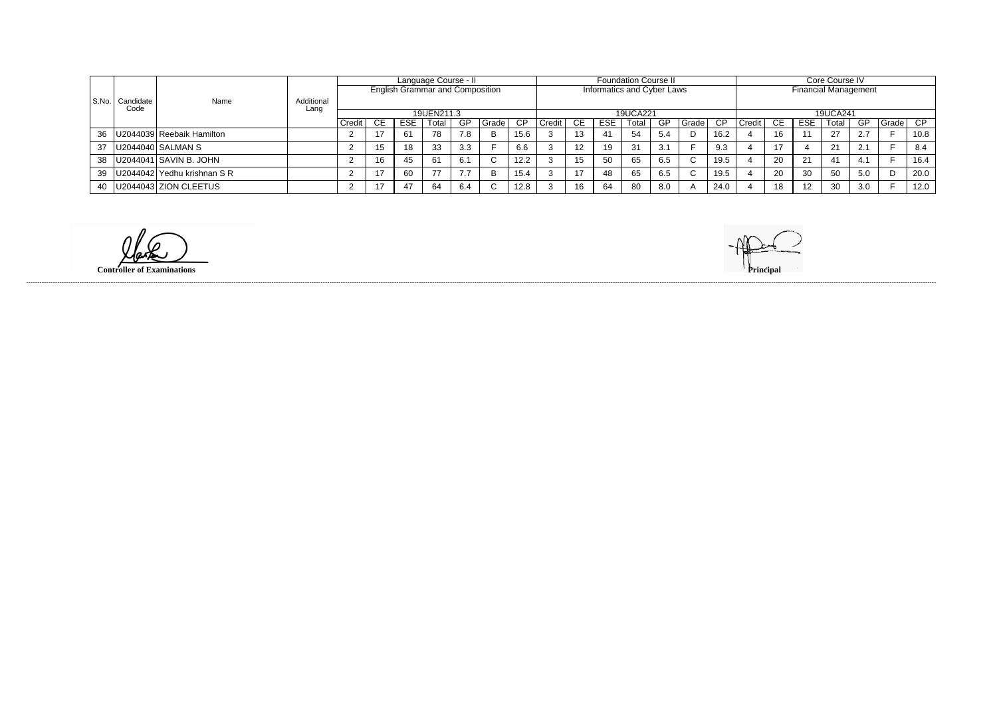|                                    |            |        |            |                                        | Language Course - II |            |         |      |        |                   |                            | <b>Foundation Course II</b> |     |         |      | Core Course IV              |          |            |           |      |       |      |  |
|------------------------------------|------------|--------|------------|----------------------------------------|----------------------|------------|---------|------|--------|-------------------|----------------------------|-----------------------------|-----|---------|------|-----------------------------|----------|------------|-----------|------|-------|------|--|
|                                    |            |        |            | <b>English Grammar and Composition</b> |                      |            |         |      |        |                   | Informatics and Cyber Laws |                             |     |         |      | <b>Financial Management</b> |          |            |           |      |       |      |  |
| S.No.   Candidate  <br>Name        | Additional |        |            |                                        |                      |            |         |      |        |                   |                            |                             |     |         |      |                             |          |            |           |      |       |      |  |
| Code                               | Lang       |        | 19UEN211.3 |                                        |                      |            |         |      |        |                   |                            | 19UCA221                    |     |         |      |                             | 19UCA241 |            |           |      |       |      |  |
|                                    |            | Credit |            | <b>ESE</b>                             | Total                | GP         | Grade l | CP.  | Credit | CE.               | ESE                        | Total                       | GP  | Grade l | CP   | Credit                      | CE.      | <b>ESE</b> | Total     | GP   | Grade | CP   |  |
| 36   U2044039   Reebaik Hamilton   |            |        |            | 61                                     |                      | 7.8        |         | 15.6 |        | 12<br>כ ו         | 4                          | 54                          | 5.4 |         | 16.2 |                             | 16       |            | 27        | ົດ 7 |       | 10.8 |  |
| 37   U2044040   SALMAN S           |            |        | 15         | 18                                     | 33                   | 3.3        |         | 6.6  |        | $12 \overline{ }$ | 19                         | 31                          | 3.1 |         | 9.3  |                             |          |            | <b>O4</b> | 2.1  |       | 8.4  |  |
| 38   U2044041   SAVIN B. JOHN      |            |        | 16         | 45                                     | -61                  | 6.1        |         | 12.2 |        | 15                | 50                         | 65                          | 6.5 |         | 19.5 |                             | 20       | -21        | 41        |      |       | 16.4 |  |
| 39   U2044042   Yedhu krishnan S R |            |        |            | 60                                     |                      | $\sqrt{1}$ |         | 15.4 |        | 17                | 48                         | 65                          | 6.5 |         | 19.5 |                             | 20       | 30         | 50        | 5.0  |       | 20.0 |  |
| 40   U2044043   ZION CLEETUS       |            |        |            | 47                                     | 64                   | 6.4        |         | 12.8 |        | 16                | 64                         | 80                          | 8.0 | A       | 24.0 |                             | 18       | 12         | 30        | 3.0  |       | 12.0 |  |

**Controller of Examinations Principal**

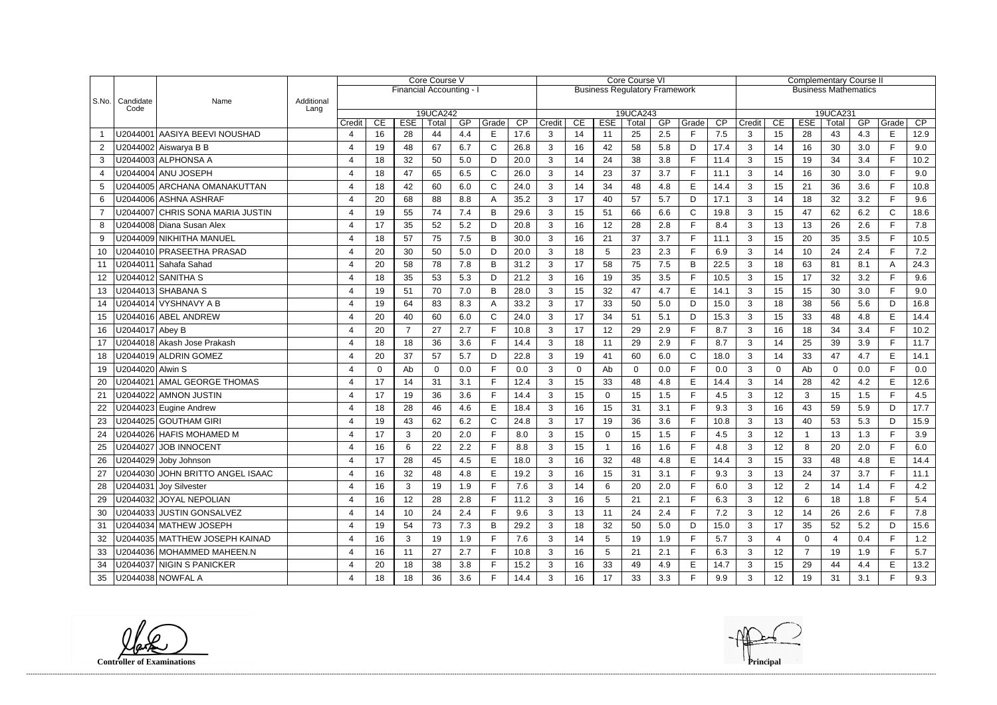|                |                   |                                                    |                    | Core Course V  |              |                  |                        |            |              | Core Course VI |                                      |             |                  |             |            | <b>Complementary Course II</b> |                        |                             |                 |                  |             |            |            |            |  |  |
|----------------|-------------------|----------------------------------------------------|--------------------|----------------|--------------|------------------|------------------------|------------|--------------|----------------|--------------------------------------|-------------|------------------|-------------|------------|--------------------------------|------------------------|-----------------------------|-----------------|------------------|-------------|------------|------------|------------|--|--|
|                |                   |                                                    |                    |                |              |                  | Financial Accounting - |            |              |                | <b>Business Regulatory Framework</b> |             |                  |             |            |                                |                        | <b>Business Mathematics</b> |                 |                  |             |            |            |            |  |  |
| S.No.          | Candidate<br>Code | Name                                               | Additional<br>Lang |                |              |                  |                        |            |              |                |                                      |             |                  |             |            |                                |                        |                             |                 |                  |             |            |            |            |  |  |
|                |                   |                                                    |                    | 19UCA242       |              |                  |                        |            | 19UCA243     |                |                                      |             |                  |             | 19UCA231   |                                |                        |                             |                 |                  |             |            |            |            |  |  |
|                |                   | U2044001 AASIYA BEEVI NOUSHAD                      |                    | Credit<br>4    | CE<br>16     | <b>ESE</b><br>28 | Total<br>44            | GP<br>4.4  | Grade<br>E   | CP<br>17.6     | Credit<br>3                          | CE<br>14    | <b>ESE</b><br>11 | Total<br>25 | GP<br>2.5  | Grade<br>$\mathsf F$           | $\overline{CP}$<br>7.5 | Credit<br>3                 | CE<br>15        | <b>ESE</b><br>28 | Total<br>43 | GP<br>4.3  | Grade<br>E | CP<br>12.9 |  |  |
| $\overline{2}$ |                   | U2044002 Aiswarya B B                              |                    | 4              | 19           | 48               | 67                     | 6.7        | C            | 26.8           | 3                                    | 16          | 42               | 58          | 5.8        | D                              | 17.4                   | 3                           | 14              | 16               | 30          | 3.0        | F.         | 9.0        |  |  |
| 3              |                   | U2044003 ALPHONSA A                                |                    | 4              | 18           |                  | 50                     | 5.0        | D            | 20.0           | 3                                    | 14          | 24               | 38          | 3.8        | F                              | 11.4                   | 3                           | 15              | 19               | 34          | 3.4        | F.         | 10.2       |  |  |
| 4              |                   | U2044004 ANU JOSEPH                                |                    | 4              |              | 32<br>47         |                        | 6.5        | $\mathsf{C}$ | 26.0           | 3                                    | 14          | 23               | 37          | 3.7        | F                              |                        | 3                           |                 | 16               | 30          | 3.0        | E          | 9.0        |  |  |
|                |                   | U2044005 ARCHANA OMANAKUTTAN                       |                    | 4              | 18<br>18     | 42               | 65<br>60               | 6.0        | C            | 24.0           | 3                                    | 14          | 34               | 48          | 4.8        | E                              | 11.1<br>14.4           | 3                           | 14<br>15        | 21               | 36          | 3.6        |            | 10.8       |  |  |
| 6              |                   | U2044006 ASHNA ASHRAF                              |                    | 4              | 20           | 68               | 88                     | 8.8        |              | 35.2           | 3                                    | 17          | 40               | 57          | 5.7        | D                              | 17.1                   | $\mathbf{3}$                | 14              | 18               | 32          | 3.2        | F.         | 9.6        |  |  |
| $\overline{7}$ |                   | U2044007 CHRIS SONA MARIA JUSTIN                   |                    | 4              | 19           | 55               | 74                     | 7.4        | в            | 29.6           | 3                                    | 15          | 51               | 66          | 6.6        | $\mathsf{C}$                   | 19.8                   | 3                           | 15              | 47               | 62          | 6.2        | C          | 18.6       |  |  |
|                |                   | U2044008 Diana Susan Alex                          |                    | 4              | 17           |                  |                        |            | D            |                |                                      |             |                  |             |            | E                              |                        |                             |                 |                  |             |            | E          | 7.8        |  |  |
| 8              |                   | U2044009 NIKHITHA MANUEL                           |                    |                |              | 35               | 52                     | 5.2        | B            | 20.8           | 3                                    | 16          | 12               | 28          | 2.8        | F                              | 8.4                    | 3                           | 13              | 13               | 26          | 2.6        | E          |            |  |  |
| 9              |                   |                                                    |                    | 4              | 18           | 57               | 75                     | 7.5        | D            | 30.0           | 3                                    | 16          | 21               | 37          | 3.7        | E                              | 11.1                   | 3                           | 15              | 20               | 35          | 3.5        | F.         | 10.5       |  |  |
|                |                   | U2044010 PRASEETHA PRASAD<br>U2044011 Sahafa Sahad |                    | 4              | 20           | 30               | 50                     | 5.0        |              | 20.0           | 3                                    | 18<br>17    | 5                | 23          | 2.3        | B                              | 6.9                    | 3                           | 14              | 10               | 24          | 2.4        | A          | 7.2        |  |  |
| 11             |                   | U2044012 SANITHA S                                 |                    | 4<br>4         | 20           | 58               | 78                     | 7.8        | B<br>D       | 31.2<br>21.2   | 3                                    | 16          | 58               | 75          | 7.5        | F                              | 22.5                   | $\mathbf{3}$                | 18              | 63<br>17         | 81          | 8.1        | F          | 24.3       |  |  |
| 12             |                   | U2044013 SHABANA S                                 |                    | 4              | 18           | 35               | 53<br>70               | 5.3<br>7.0 | B            |                | 3<br>3                               | 15          | 19<br>32         | 35          | 3.5<br>4.7 |                                | 10.5<br>14.1           | 3                           | 15<br>15        |                  | 32<br>30    | 3.2<br>3.0 | E.         | 9.6<br>9.0 |  |  |
| 13             |                   |                                                    |                    | 4              | 19           | 51               |                        |            |              | 28.0           |                                      |             |                  | 47          |            | E<br>D                         |                        | 3                           |                 | 15               |             |            | D.         |            |  |  |
| 14             |                   |                                                    |                    |                | 19           | 64               | 83                     | 8.3        | А            | 33.2           | 3                                    | 17          | 33               | 50          | 5.0        |                                | 15.0                   | 3                           | 18              | 38               | 56          | 5.6        |            | 16.8       |  |  |
| 15             |                   | U2044016 ABEL ANDREW                               |                    | 4              | 20           | 40               | 60                     | 6.0        | C<br>E       | 24.0           | 3                                    | 17          | 34               | 51          | 5.1        | D                              | 15.3                   | 3                           | 15              | 33               | 48          | 4.8        | E<br>F.    | 14.4       |  |  |
| 16             | U2044017 Abey B   |                                                    |                    | 4              | 20           | $\overline{7}$   | 27                     | 2.7        | F.           | 10.8           | 3                                    | 17          | 12               | 29          | 2.9        | F                              | 8.7                    | 3                           | 16              | 18               | 34          | 3.4        | E          | 10.2       |  |  |
| 17             |                   | U2044018 Akash Jose Prakash                        |                    | 4              | 18           | 18               | 36                     | 3.6        |              | 14.4           | 3                                    | 18          | 11               | 29          | 2.9        | F                              | 8.7                    | 3                           | 14              | 25               | 39          | 3.9        |            | 11.7       |  |  |
| 18             |                   | U2044019 ALDRIN GOMEZ                              |                    | 4              | 20           | 37               | 57                     | 5.7        | D            | 22.8           | 3                                    | 19          | 41               | 60          | 6.0        | $\mathsf{C}$                   | 18.0                   | 3                           | 14              | 33               | 47          | 4.7        | E.         | 14.1       |  |  |
| 19             | U2044020 Alwin S  |                                                    |                    | 4              | <sup>0</sup> | Ab               | $\Omega$               | 0.0        | E            | 0.0            | 3                                    | $\mathbf 0$ | Ab               | $\mathbf 0$ | 0.0        | F                              | 0.0                    | 3                           | $\mathbf{0}$    | Ab               | $\Omega$    | 0.0        | E          | 0.0        |  |  |
| 20             |                   | U2044021 AMAL GEORGE THOMAS                        |                    | 4              | 17           | 14               | 31                     | 3.1        | Е            | 12.4           | 3                                    | 15          | 33               | 48          | 4.8        | E                              | 14.4                   | 3                           | 14              | 28               | 42          | 4.2        | E.         | 12.6       |  |  |
| 21             |                   | U2044022 AMNON JUSTIN                              |                    | 4              | 17           | 19               | 36                     | 3.6        | Е            | 14.4           | 3                                    | 15          | 0                | 15          | 1.5        | F                              | 4.5                    | $\sqrt{3}$                  | 12              | 3                | 15          | 1.5        | E.         | 4.5        |  |  |
| 22             |                   | U2044023 Eugine Andrew                             |                    | 4              | 18           | 28               | 46                     | 4.6        | E            | 18.4           | 3                                    | 16          | 15               | 31          | 3.1        | F                              | 9.3                    | 3                           | 16              | 43               | 59          | 5.9        | D          | 17.7       |  |  |
| 23             |                   | U2044025 GOUTHAM GIRI                              |                    | 4              | 19           | 43               | 62                     | 6.2        | C            | 24.8           | 3                                    | 17          | 19               | 36          | 3.6        | F                              | 10.8                   | 3                           | 13              | 40               | 53          | 5.3        | D          | 15.9       |  |  |
| 24             |                   | U2044026 HAFIS MOHAMED M                           |                    | $\overline{4}$ | 17           | 3                | 20                     | 2.0        | Е            | 8.0            | 3                                    | 15          | 0                | 15          | 1.5        | F                              | 4.5                    | 3                           | 12              |                  | 13          | 1.3        | Е          | 3.9        |  |  |
| 25             |                   | U2044027 JOB INNOCENT                              |                    | Δ              | 16           | 6                | 22                     | 2.2        | Е            | 8.8            | વ                                    | 15          |                  | 16          | 1.6        | Е                              | 4.8                    | 3                           | 12 <sup>°</sup> | <sup>8</sup>     | 20          | 20         |            | 6.0        |  |  |
| 26             |                   | U2044029 Joby Johnson                              |                    | 4              | 17           | 28               | 45                     | 4.5        | E            | 18.0           | 3                                    | 16          | 32               | 48          | 4.8        | E                              | 14.4                   | 3                           | 15              | 33               | 48          | 4.8        | E.         | 14.4       |  |  |
| 27             |                   | U2044030 JOHN BRITTO ANGEL ISAAC                   |                    | 4              | 16           | 32               | 48                     | 4.8        | Е            | 19.2           | 3                                    | 16          | 15               | 31          | 3.1        | F                              | 9.3                    | 3                           | 13              | 24               | 37          | 3.7        | F.         | 11.1       |  |  |
| 28             |                   | U2044031 Joy Silvester                             |                    | 4              | 16           | 3                | 19                     | 1.9        |              | 7.6            | 3                                    | 14          | 6                | 20          | 2.0        | F                              | 6.0                    | 3                           | 12              | $\overline{2}$   | 14          | 1.4        |            | 4.2        |  |  |
| 29             |                   | U2044032 JOYAL NEPOLIAN                            |                    | 4              | 16           | 12               | 28                     | 2.8        | F            | 11.2           | 3                                    | 16          | 5                | 21          | 2.1        | F                              | 6.3                    | $\mathbf{3}$                | 12              | 6                | 18          | 1.8        | F.         | 5.4        |  |  |
| 30             |                   | U2044033 JUSTIN GONSALVEZ                          |                    | 4              | 14           | 10               | 24                     | 2.4        |              | 9.6            | 3                                    | 13          | 11               | 24          | 2.4        | F                              | 7.2                    | 3                           | 12              | 14               | 26          | 2.6        |            | 7.8        |  |  |
| 31             |                   | U2044034 MATHEW JOSEPH                             |                    | 4              | 19           | 54               | 73                     | 7.3        | В            | 29.2           | 3                                    | 18          | 32               | 50          | 5.0        | D                              | 15.0                   | 3                           | 17              | 35               | 52          | 5.2        | D          | 15.6       |  |  |
| 32             |                   | U2044035 MATTHEW JOSEPH KAINAD                     |                    | 4              | 16           | 3                | 19                     | 1.9        |              | 7.6            | 3                                    | 14          | 5                | 19          | 1.9        | F                              | 5.7                    | 3                           | 4               | $\mathbf 0$      |             | 0.4        | F.         | 1.2        |  |  |
| 33             |                   | U2044036 MOHAMMED MAHEEN.N                         |                    | 4              | 16           | 11               | 27                     | 2.7        |              | 10.8           | 3                                    | 16          | 5                | 21          | 2.1        | F                              | 6.3                    | 3                           | 12              | $\overline{7}$   | 19          | 1.9        |            | 5.7        |  |  |
| 34             |                   | U2044037 NIGIN S PANICKER                          |                    | 4              | 20           | 18               | 38                     | 3.8        | F            | 15.2           | 3                                    | 16          | 33               | 49          | 4.9        | E                              | 14.7                   | $\mathbf{3}$                | 15              | 29               | 44          | 4.4        | E.         | 13.2       |  |  |
|                |                   | 35   U2044038   NOWFAL A                           |                    | 4              | 18           | 18               | 36                     | 3.6        |              | 14.4           | 3                                    | 16          | 17               | 33          | 3.3        | F                              | 9.9                    | 3                           | 12              | 19               | 31          | 3.1        | F.         | 9.3        |  |  |

**Controller of Examinations Principal**

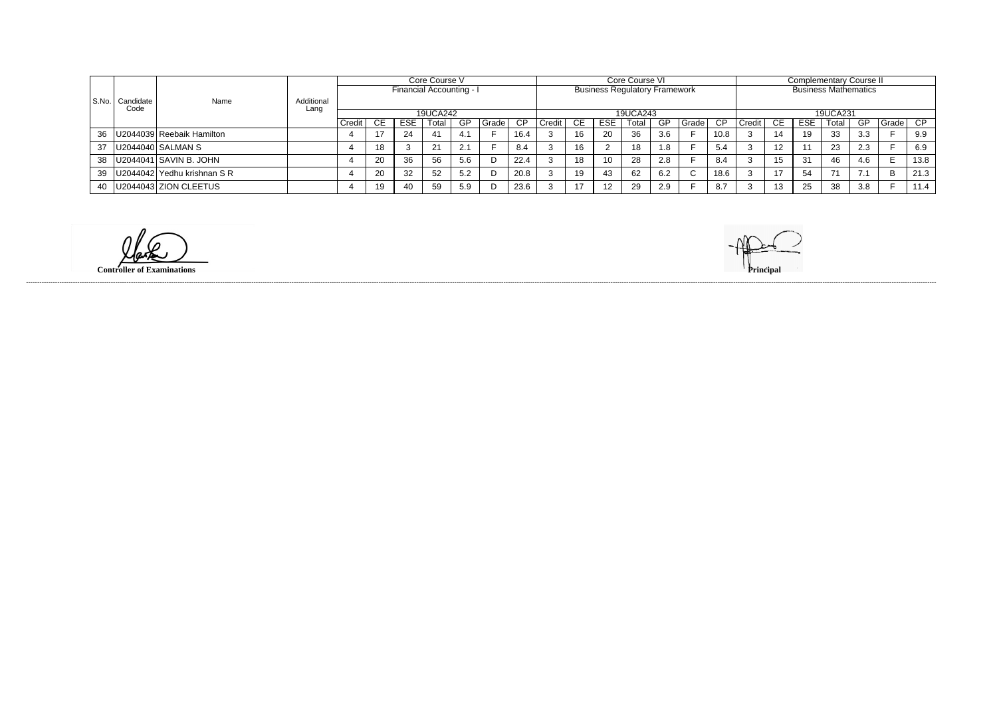|    |                   |                                    | Core Course V |                          |     |            |          |     | Core Course VI |      |          |     |                                      |       |           | <b>Complementary Course II</b> |          |                             |     |            |       |     |           |      |
|----|-------------------|------------------------------------|---------------|--------------------------|-----|------------|----------|-----|----------------|------|----------|-----|--------------------------------------|-------|-----------|--------------------------------|----------|-----------------------------|-----|------------|-------|-----|-----------|------|
|    |                   | Name                               | Additional    | Financial Accounting - I |     |            |          |     |                |      |          |     | <b>Business Regulatory Framework</b> |       |           |                                |          | <b>Business Mathematics</b> |     |            |       |     |           |      |
|    | S.No.   Candidate |                                    |               |                          |     |            |          |     |                |      |          |     |                                      |       |           |                                |          |                             |     |            |       |     |           |      |
|    | Code              |                                    | Lang          |                          |     |            | 19UCA242 |     |                |      | 19UCA243 |     |                                      |       |           |                                | 19UCA231 |                             |     |            |       |     |           |      |
|    |                   |                                    |               | Credit                   | -CE | <b>ESE</b> | Total    | GP. | Grade I        | CP.  | Credit   | CE. | ESE.                                 | Total | <b>GP</b> | Grade                          | CP       | Credit                      | CE. | <b>ESE</b> | Total | GP  | l Grade I | CP   |
|    |                   | 36   U2044039   Reebaik Hamilton   |               |                          |     | 24         |          | 4.1 |                | 16.4 |          | 16  | 20                                   | 36    | 3.6       |                                | 10.8     |                             | 14  | 19         | 33    | 3.3 |           | 9.9  |
|    |                   | 37   U2044040   SALMAN S           |               |                          | 18  |            | 21       | 2.1 |                | 8.4  |          | 16  |                                      | 18    | 1.8       |                                | -5.4     |                             | 12  |            | 23    | 2.3 |           | 6.9  |
|    |                   | 38   U2044041   SAVIN B. JOHN      |               |                          | 20  | 36         | 56       | 5.6 |                | 22.4 |          | 18  | 10                                   | 28    | 2.8       |                                | -8.4     |                             | 15  | 31         | 46    | 4.6 |           | 13.8 |
|    |                   | 39   U2044042   Yedhu krishnan S R |               |                          | 20  | 32         | 52       | 5.2 |                | 20.8 |          | 19  |                                      | 62    | 6.2       |                                | 18.6     |                             |     | 54         |       | 71  |           | 21.3 |
| 40 |                   | $ U2044043 $ ZION CLEETUS          |               |                          | 19  | 40         | 59       | 5.9 |                | 23.6 |          | 17  |                                      | 29    | 2.9       |                                | 8.7      |                             | 13  | 25         | 38    | 3.8 |           | 11.4 |

**Controller of Examinations Principal**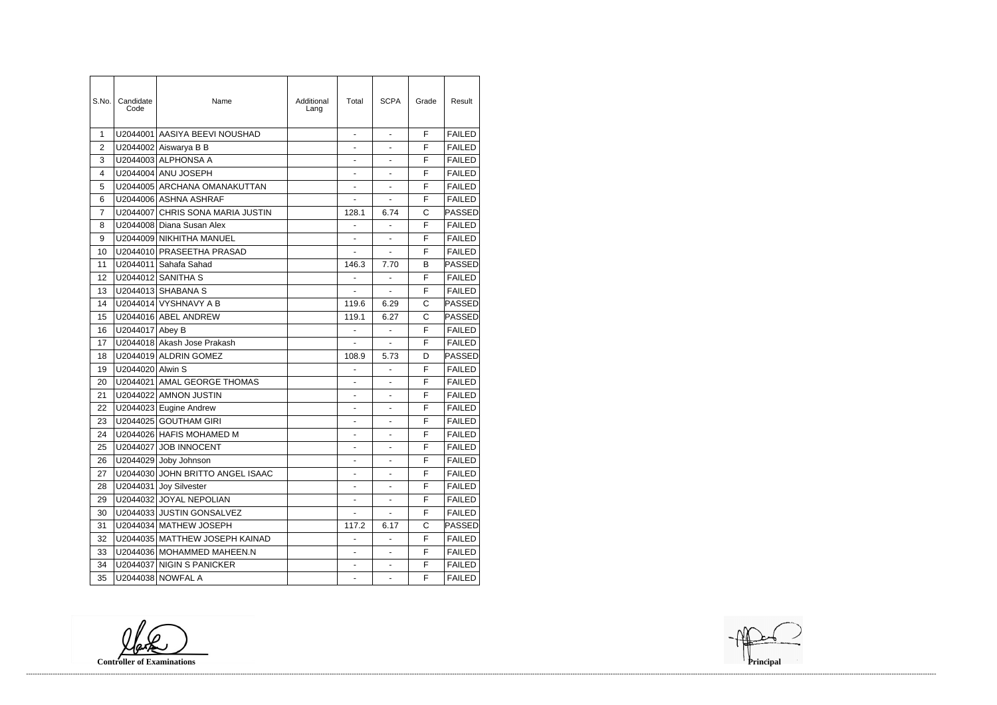| S.No.          | Candidate<br>Code | Name                             | Additional<br>Lang | Total                        | <b>SCPA</b>              | Grade        | Result        |
|----------------|-------------------|----------------------------------|--------------------|------------------------------|--------------------------|--------------|---------------|
| $\mathbf 1$    |                   | U2044001 AASIYA BEEVI NOUSHAD    |                    |                              |                          | F            | <b>FAILED</b> |
| 2              |                   | U2044002 Aiswarya B B            |                    | $\overline{\phantom{0}}$     | $\overline{\phantom{0}}$ | F            | <b>FAILED</b> |
| 3              |                   | U2044003 ALPHONSA A              |                    | ä,                           | ä,                       | F            | <b>FAILED</b> |
| 4              |                   | U2044004 ANU JOSEPH              |                    | $\overline{a}$               | L.                       | F            | <b>FAILED</b> |
| 5              |                   | U2044005 ARCHANA OMANAKUTTAN     |                    |                              | ÷,                       | F            | <b>FAILED</b> |
| 6              |                   | U2044006 ASHNA ASHRAF            |                    |                              |                          | F            | <b>FAILED</b> |
| $\overline{7}$ |                   | U2044007 CHRIS SONA MARIA JUSTIN |                    | 128.1                        | 6.74                     | C            | <b>PASSED</b> |
| 8              |                   | U2044008 Diana Susan Alex        |                    |                              |                          | F            | <b>FAILED</b> |
| 9              |                   | U2044009 NIKHITHA MANUEL         |                    | $\overline{a}$               | L.                       | F            | <b>FAILED</b> |
| 10             |                   | U2044010 PRASEETHA PRASAD        |                    | $\overline{a}$               | ä,                       | F            | <b>FAILED</b> |
| 11             | U2044011          | Sahafa Sahad                     |                    | 146.3                        | 7.70                     | B            | PASSED        |
| 12             |                   | U2044012 SANITHA S               |                    | $\overline{a}$               | L.                       | F            | <b>FAILED</b> |
| 13             |                   | U2044013 SHABANA S               |                    | $\overline{a}$               | L.                       | F            | <b>FAILED</b> |
| 14             |                   | U2044014 VYSHNAVY A B            |                    | 119.6                        | 6.29                     | $\mathsf{C}$ | PASSED        |
| 15             |                   | U2044016 ABEL ANDREW             |                    | 119.1                        | 6.27                     | C            | <b>PASSED</b> |
| 16             | U2044017 Abey B   |                                  |                    |                              |                          | F            | <b>FAILED</b> |
| 17             |                   | U2044018 Akash Jose Prakash      |                    | $\overline{\phantom{a}}$     | L.                       | F            | <b>FAILED</b> |
| 18             |                   | U2044019 ALDRIN GOMEZ            |                    | 108.9                        | 5.73                     | D            | <b>PASSED</b> |
| 19             | U2044020 Alwin S  |                                  |                    | $\overline{a}$               | L.                       | F            | <b>FAILED</b> |
| 20             |                   | U2044021 AMAL GEORGE THOMAS      |                    | $\qquad \qquad \blacksquare$ | ÷,                       | F            | <b>FAILED</b> |
| 21             |                   | U2044022 AMNON JUSTIN            |                    | -                            | ä,                       | F            | <b>FAILED</b> |
| 22             |                   | U2044023 Eugine Andrew           |                    | $\overline{\phantom{0}}$     | ÷,                       | F            | <b>FAILED</b> |
| 23             |                   | U2044025 GOUTHAM GIRI            |                    |                              | L.                       | F            | <b>FAILED</b> |
| 24             |                   | U2044026 HAFIS MOHAMED M         |                    | $\overline{a}$               | ÷.                       | F            | <b>FAILED</b> |
| 25             |                   | U2044027 JOB INNOCENT            |                    |                              |                          | F            | <b>FAILED</b> |
| 26             |                   | U2044029 Joby Johnson            |                    |                              |                          | F            | <b>FAILED</b> |
| 27             |                   | U2044030 JOHN BRITTO ANGEL ISAAC |                    |                              | $\overline{\phantom{0}}$ | F            | <b>FAILED</b> |
| 28             |                   | U2044031 Joy Silvester           |                    |                              |                          | F            | <b>FAILED</b> |
| 29             |                   | U2044032 JOYAL NEPOLIAN          |                    |                              | ÷.                       | F            | <b>FAILED</b> |
| 30             |                   | U2044033 JUSTIN GONSALVEZ        |                    | $\blacksquare$               | $\blacksquare$           | F            | FAILED        |
| 31             |                   | U2044034 MATHEW JOSEPH           |                    | 117.2                        | 6.17                     | $\mathsf C$  | <b>PASSED</b> |
| 32             |                   | U2044035 MATTHEW JOSEPH KAINAD   |                    |                              | $\overline{\phantom{0}}$ | F            | <b>FAILED</b> |
| 33             |                   | U2044036 MOHAMMED MAHEEN.N       |                    |                              |                          | F            | <b>FAILED</b> |
| 34             |                   | U2044037 NIGIN S PANICKER        |                    |                              | $\blacksquare$           | F            | <b>FAILED</b> |
| 35             |                   | U2044038 NOWFAL A                |                    | $\blacksquare$               | $\overline{\phantom{0}}$ | F            | <b>FAILED</b> |

**Controller of Examinations Principal**